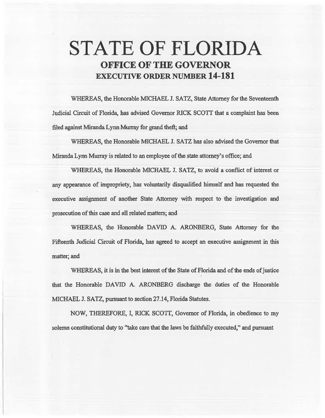# **STATE OF FLORIDA OFFICE OF THE GOVERNOR EXECUTIVE ORDER NUMBER 14-181**

WHEREAS, the Honorable MICHAEL J. SATZ, State Attorney for the Seventeenth Judicial Circuit of Florida, has advised Governor RICK SCOTI that a complaint has been filed against Miranda Lynn Murray for grand theft; and

WHEREAS, the Honorable MICHAEL J. SATZ has also advised the Governor that Miranda Lynn Murray is related to an employee of the state attorney's office; and

WHEREAS, the Honorable MICHAEL J. SATZ, to avoid a conflict of interest or any appearance of impropriety, has voluntarily-disqualified himself and has requested the executive assignment of another State Attorney with respect to the investigation and prosecution of this case and all related matters; and

WHEREAS, the Honorable DAVID A. ARONBERG, State Attorney for the Fifteenth Judicial Circuit of Florida, has agreed to accept an executive assignment in this matter; and

WHEREAS, it is in the best interest of the State of Florida and of the ends of justice that the Honorable DAVID A. ARONBERG discharge the duties of the Honorable MICHAEL J. SATZ, pursuant to section 27.14, Florida Statutes.

NOW, THEREFORE, I, RICK SCOTT, Governor of Florida, in obedience to my solemn constitutional duty to "take care that the laws be faithfully executed," and pursuant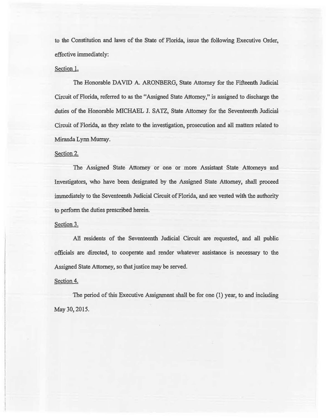to the Constitution and laws of the State of Florida, issue the following Executive Order, effective immediately:

## Section 1.

The Honorable DAVID A. ARONBERG, State Attorney for the Fifteenth Judicial Circuit of Florida., referred to as the "Assigned State Attorney," is assigned to discharge the duties of the Honorable MICHAEL J. SATZ, State Attorney for the Seventeenth. Judicial Circuit of Florida, as they relate to the investigation, prosecution and all matters related to Miranda Lym Murray.

### Section 2.

The Assigned State Attorney or one or more Assistant State Attorneys and Investigators, who have been designated by the Assigned State Attorney, shall proceed immediately to the Seventeenth Judicial Circuit of Florida, and are vested with the authority to perform the duties prescribed herein.

#### Section 3.

AM residents of the Seventeenth Judicial Circuit are requested, and all public officials are directed, to cooperate and render whatever assistance is necessary to the Assigned State Attorney, so that justice may be served.

#### Section 4.

The period of this Executive Assignment shall be for one (1) year, to and including May 30, 2015.